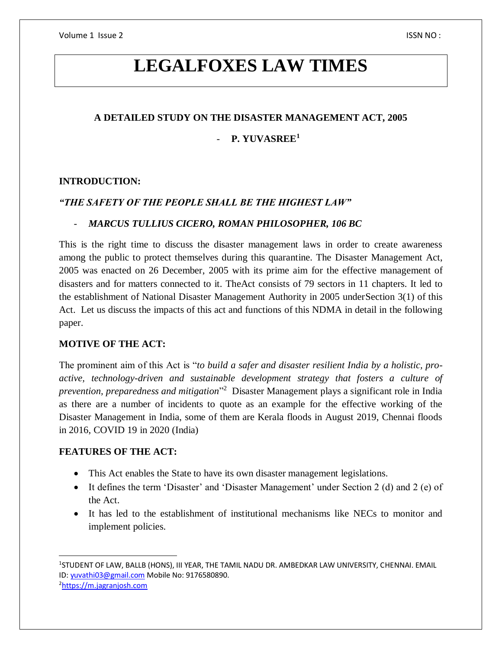# **LEGALFOXES LAW TIMES**

### **A DETAILED STUDY ON THE DISASTER MANAGEMENT ACT, 2005**

# - **P. YUVASREE<sup>1</sup>**

## **INTRODUCTION:**

# *"THE SAFETY OF THE PEOPLE SHALL BE THE HIGHEST LAW"*

#### - *MARCUS TULLIUS CICERO, ROMAN PHILOSOPHER, 106 BC*

This is the right time to discuss the disaster management laws in order to create awareness among the public to protect themselves during this quarantine. The Disaster Management Act, 2005 was enacted on 26 December, 2005 with its prime aim for the effective management of disasters and for matters connected to it. TheAct consists of 79 sectors in 11 chapters. It led to the establishment of National Disaster Management Authority in 2005 underSection 3(1) of this Act. Let us discuss the impacts of this act and functions of this NDMA in detail in the following paper.

### **MOTIVE OF THE ACT:**

The prominent aim of this Act is "*to build a safer and disaster resilient India by a holistic, proactive, technology-driven and sustainable development strategy that fosters a culture of prevention, preparedness and mitigation*" 2 Disaster Management plays a significant role in India as there are a number of incidents to quote as an example for the effective working of the Disaster Management in India, some of them are Kerala floods in August 2019, Chennai floods in 2016, COVID 19 in 2020 (India)

# **FEATURES OF THE ACT:**

- This Act enables the State to have its own disaster management legislations.
- It defines the term 'Disaster' and 'Disaster Management' under Section 2 (d) and 2 (e) of the Act.
- It has led to the establishment of institutional mechanisms like NECs to monitor and implement policies.

<sup>2</sup>[https://m.jagranjosh.com](https://m.jagranjosh.com/)

 $\overline{a}$ 1 STUDENT OF LAW, BALLB (HONS), III YEAR, THE TAMIL NADU DR. AMBEDKAR LAW UNIVERSITY, CHENNAI. EMAIL ID[: yuvathi03@gmail.com](mailto:yuvathi03@gmail.com) Mobile No: 9176580890.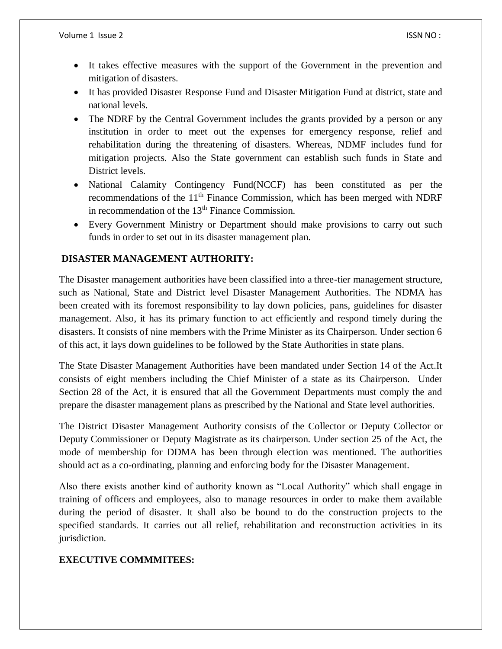- It takes effective measures with the support of the Government in the prevention and mitigation of disasters.
- It has provided Disaster Response Fund and Disaster Mitigation Fund at district, state and national levels.
- The NDRF by the Central Government includes the grants provided by a person or any institution in order to meet out the expenses for emergency response, relief and rehabilitation during the threatening of disasters. Whereas, NDMF includes fund for mitigation projects. Also the State government can establish such funds in State and District levels.
- National Calamity Contingency Fund(NCCF) has been constituted as per the recommendations of the  $11<sup>th</sup>$  Finance Commission, which has been merged with NDRF in recommendation of the  $13<sup>th</sup>$  Finance Commission.
- Every Government Ministry or Department should make provisions to carry out such funds in order to set out in its disaster management plan.

## **DISASTER MANAGEMENT AUTHORITY:**

The Disaster management authorities have been classified into a three-tier management structure, such as National, State and District level Disaster Management Authorities. The NDMA has been created with its foremost responsibility to lay down policies, pans, guidelines for disaster management. Also, it has its primary function to act efficiently and respond timely during the disasters. It consists of nine members with the Prime Minister as its Chairperson. Under section 6 of this act, it lays down guidelines to be followed by the State Authorities in state plans.

The State Disaster Management Authorities have been mandated under Section 14 of the Act.It consists of eight members including the Chief Minister of a state as its Chairperson. Under Section 28 of the Act, it is ensured that all the Government Departments must comply the and prepare the disaster management plans as prescribed by the National and State level authorities.

The District Disaster Management Authority consists of the Collector or Deputy Collector or Deputy Commissioner or Deputy Magistrate as its chairperson. Under section 25 of the Act, the mode of membership for DDMA has been through election was mentioned. The authorities should act as a co-ordinating, planning and enforcing body for the Disaster Management.

Also there exists another kind of authority known as "Local Authority" which shall engage in training of officers and employees, also to manage resources in order to make them available during the period of disaster. It shall also be bound to do the construction projects to the specified standards. It carries out all relief, rehabilitation and reconstruction activities in its jurisdiction.

#### **EXECUTIVE COMMMITEES:**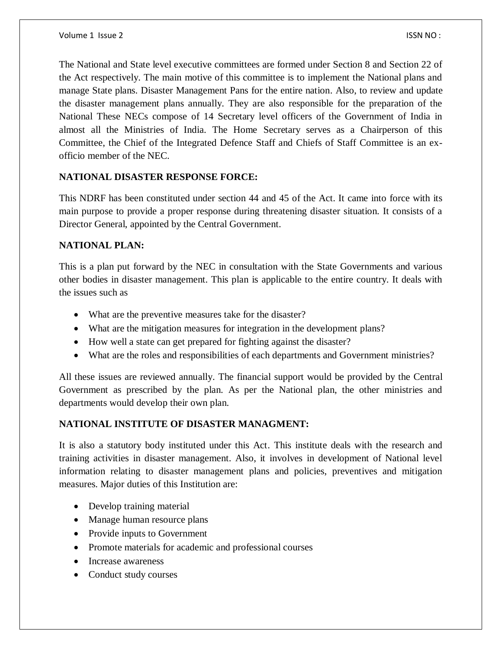The National and State level executive committees are formed under Section 8 and Section 22 of the Act respectively. The main motive of this committee is to implement the National plans and manage State plans. Disaster Management Pans for the entire nation. Also, to review and update the disaster management plans annually. They are also responsible for the preparation of the National These NECs compose of 14 Secretary level officers of the Government of India in almost all the Ministries of India. The Home Secretary serves as a Chairperson of this Committee, the Chief of the Integrated Defence Staff and Chiefs of Staff Committee is an exofficio member of the NEC.

#### **NATIONAL DISASTER RESPONSE FORCE:**

This NDRF has been constituted under section 44 and 45 of the Act. It came into force with its main purpose to provide a proper response during threatening disaster situation. It consists of a Director General, appointed by the Central Government.

#### **NATIONAL PLAN:**

This is a plan put forward by the NEC in consultation with the State Governments and various other bodies in disaster management. This plan is applicable to the entire country. It deals with the issues such as

- What are the preventive measures take for the disaster?
- What are the mitigation measures for integration in the development plans?
- How well a state can get prepared for fighting against the disaster?
- What are the roles and responsibilities of each departments and Government ministries?

All these issues are reviewed annually. The financial support would be provided by the Central Government as prescribed by the plan. As per the National plan, the other ministries and departments would develop their own plan.

# **NATIONAL INSTITUTE OF DISASTER MANAGMENT:**

It is also a statutory body instituted under this Act. This institute deals with the research and training activities in disaster management. Also, it involves in development of National level information relating to disaster management plans and policies, preventives and mitigation measures. Major duties of this Institution are:

- Develop training material
- Manage human resource plans
- Provide inputs to Government
- Promote materials for academic and professional courses
- Increase awareness
- Conduct study courses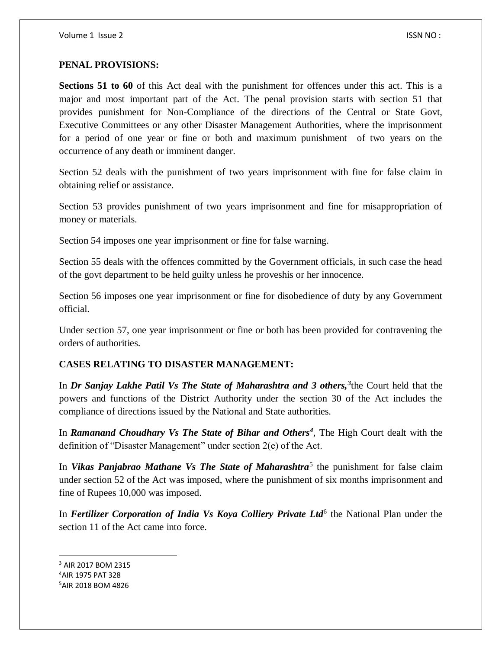#### **PENAL PROVISIONS:**

**Sections 51 to 60** of this Act deal with the punishment for offences under this act. This is a major and most important part of the Act. The penal provision starts with section 51 that provides punishment for Non-Compliance of the directions of the Central or State Govt, Executive Committees or any other Disaster Management Authorities, where the imprisonment for a period of one year or fine or both and maximum punishment of two years on the occurrence of any death or imminent danger.

Section 52 deals with the punishment of two years imprisonment with fine for false claim in obtaining relief or assistance.

Section 53 provides punishment of two years imprisonment and fine for misappropriation of money or materials.

Section 54 imposes one year imprisonment or fine for false warning.

Section 55 deals with the offences committed by the Government officials, in such case the head of the govt department to be held guilty unless he proveshis or her innocence.

Section 56 imposes one year imprisonment or fine for disobedience of duty by any Government official.

Under section 57, one year imprisonment or fine or both has been provided for contravening the orders of authorities.

# **CASES RELATING TO DISASTER MANAGEMENT:**

In *Dr Sanjay Lakhe Patil Vs The State of Maharashtra and 3 others,<sup>3</sup>* the Court held that the powers and functions of the District Authority under the section 30 of the Act includes the compliance of directions issued by the National and State authorities.

In *Ramanand Choudhary Vs The State of Bihar and Others<sup>4</sup>* , The High Court dealt with the definition of "Disaster Management" under section 2(e) of the Act.

In *Vikas Panjabrao Mathane Vs The State of Maharashtra*<sup>5</sup> the punishment for false claim under section 52 of the Act was imposed, where the punishment of six months imprisonment and fine of Rupees 10,000 was imposed.

In *Fertilizer Corporation of India Vs Koya Colliery Private Ltd*<sup>6</sup> the National Plan under the section 11 of the Act came into force.

<sup>3</sup> AIR 2017 BOM 2315 <sup>4</sup>AIR 1975 PAT 328 5AIR 2018 BOM 4826

 $\overline{a}$